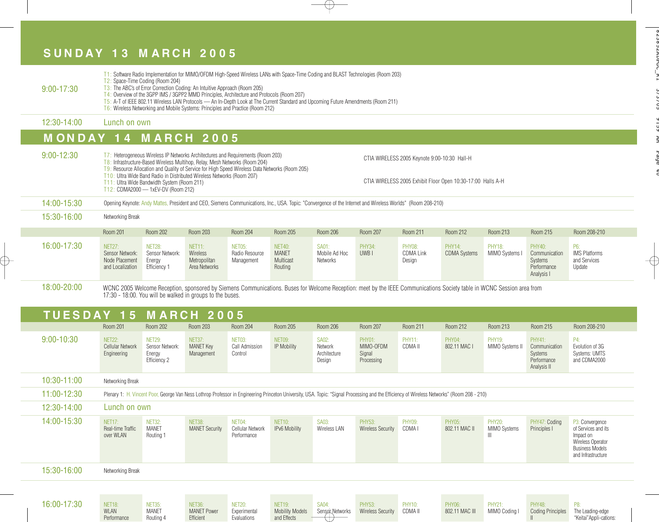## **S U N D A Y 1 3 M A R C H 2 0 0 5**

NET18: WLAN Performance

⊕

NET35: MANET Routing 4

NET36: MANET Power Efficient

NET20: Experimental **Evaluations** 

NET19: Mobility Models and Effects

| $9:00 - 17:30$ |                                                                                                                                                                                             | T1: Software Radio Implementation for MIMO/OFDM High-Speed Wireless LANs with Space-Time Coding and BLAST Technologies (Room 203)<br>T2: Space-Time Coding (Room 204)<br>T3: The ABC's of Error Correction Coding: An Intuitive Approach (Room 205)<br>T4: Overview of the 3GPP IMS / 3GPP2 MMD Principles, Architecture and Protocols (Room 207)<br>T5: A-T of IEEE 802.11 Wireless LAN Protocols - An In-Depth Look at The Current Standard and Upcoming Future Amendments (Room 211)<br>T6: Wireless Networking and Mobile Systems: Principles and Practice (Room 212) |                                                                                                                                                                                                                                                                                                                                              |                                        |                                                       |                                                   |                                             |                                              |                                                             |                                  |                                                                                |                                                               |  |  |
|----------------|---------------------------------------------------------------------------------------------------------------------------------------------------------------------------------------------|---------------------------------------------------------------------------------------------------------------------------------------------------------------------------------------------------------------------------------------------------------------------------------------------------------------------------------------------------------------------------------------------------------------------------------------------------------------------------------------------------------------------------------------------------------------------------|----------------------------------------------------------------------------------------------------------------------------------------------------------------------------------------------------------------------------------------------------------------------------------------------------------------------------------------------|----------------------------------------|-------------------------------------------------------|---------------------------------------------------|---------------------------------------------|----------------------------------------------|-------------------------------------------------------------|----------------------------------|--------------------------------------------------------------------------------|---------------------------------------------------------------|--|--|
| 12:30-14:00    |                                                                                                                                                                                             | Lunch on own                                                                                                                                                                                                                                                                                                                                                                                                                                                                                                                                                              |                                                                                                                                                                                                                                                                                                                                              |                                        |                                                       |                                                   |                                             |                                              |                                                             |                                  |                                                                                |                                                               |  |  |
|                | <b>MONDAY 14 MARCH 2005</b>                                                                                                                                                                 |                                                                                                                                                                                                                                                                                                                                                                                                                                                                                                                                                                           |                                                                                                                                                                                                                                                                                                                                              |                                        |                                                       |                                                   |                                             |                                              |                                                             |                                  |                                                                                |                                                               |  |  |
| $9:00 - 12:30$ |                                                                                                                                                                                             | T11: Ultra Wide Bandwidth System (Room 211)<br>T12: CDMA2000 - 1xEV-DV (Room 212)                                                                                                                                                                                                                                                                                                                                                                                                                                                                                         | T7: Heterogeneous Wireless IP Networks Architectures and Requirements (Room 203)<br>T8: Infrastructure-Based Wireless Multihop, Relay, Mesh Networks (Room 204)<br>T9: Resource Allocation and Quality of Service for High Speed Wireless Data Networks (Room 205)<br>T10: Ultra Wide Band Radio in Distributed Wireless Networks (Room 207) |                                        |                                                       |                                                   |                                             | CTIA WIRELESS 2005 Keynote 9:00-10:30 Hall-H | CTIA WIRELESS 2005 Exhibit Floor Open 10:30-17:00 Halls A-H |                                  |                                                                                |                                                               |  |  |
| 14:00-15:30    |                                                                                                                                                                                             | Opening Keynote: Andy Mattes, President and CEO, Siemens Communications, Inc., USA. Topic: "Convergence of the Internet and Wireless Worlds" (Room 208-210)                                                                                                                                                                                                                                                                                                                                                                                                               |                                                                                                                                                                                                                                                                                                                                              |                                        |                                                       |                                                   |                                             |                                              |                                                             |                                  |                                                                                |                                                               |  |  |
| 15:30-16:00    | Networking Break                                                                                                                                                                            |                                                                                                                                                                                                                                                                                                                                                                                                                                                                                                                                                                           |                                                                                                                                                                                                                                                                                                                                              |                                        |                                                       |                                                   |                                             |                                              |                                                             |                                  |                                                                                |                                                               |  |  |
|                | Room 201                                                                                                                                                                                    | <b>Room 202</b>                                                                                                                                                                                                                                                                                                                                                                                                                                                                                                                                                           | Room 203                                                                                                                                                                                                                                                                                                                                     | <b>Room 204</b>                        | Room 205                                              | <b>Room 206</b>                                   | <b>Room 207</b>                             | Room 211                                     | Room 212                                                    | Room 213                         | Room 215                                                                       | Room 208-210                                                  |  |  |
| 16:00-17:30    | <b>NET27:</b><br>Sensor Network:<br>Node Placement<br>and Localization                                                                                                                      | <b>NET28:</b><br>Sensor Network:<br>Energy<br>Efficiency 1                                                                                                                                                                                                                                                                                                                                                                                                                                                                                                                | <b>NET11:</b><br>Wireless<br>Metropolitan<br>Area Networks                                                                                                                                                                                                                                                                                   | NET05:<br>Radio Resource<br>Management | <b>NET40:</b><br><b>MANET</b><br>Multicast<br>Routing | SA01:<br>Mobile Ad Hoc<br><b>Networks</b>         | <b>PHY34:</b><br>UWB <sub>I</sub>           | <b>PHY08:</b><br><b>CDMA Link</b><br>Design  | PHY14:<br><b>CDMA Systems</b>                               | <b>PHY18:</b><br>MIMO Systems I  | PHY40:<br>Communication<br><b>Systems</b><br>Performance<br>Analysis I         | P6:<br><b>IMS Platforms</b><br>and Services<br>Update         |  |  |
| 18:00-20:00    |                                                                                                                                                                                             | WCNC 2005 Welcome Reception, sponsored by Siemens Communications. Buses for Welcome Reception: meet by the IEEE Communications Society table in WCNC Session area from<br>17:30 - 18:00. You will be walked in groups to the buses.                                                                                                                                                                                                                                                                                                                                       |                                                                                                                                                                                                                                                                                                                                              |                                        |                                                       |                                                   |                                             |                                              |                                                             |                                  |                                                                                |                                                               |  |  |
|                | <b>TUESDAY 15</b>                                                                                                                                                                           |                                                                                                                                                                                                                                                                                                                                                                                                                                                                                                                                                                           | <b>MARCH 2005</b>                                                                                                                                                                                                                                                                                                                            |                                        |                                                       |                                                   |                                             |                                              |                                                             |                                  |                                                                                |                                                               |  |  |
|                | <b>Room 201</b>                                                                                                                                                                             | <b>Room 202</b>                                                                                                                                                                                                                                                                                                                                                                                                                                                                                                                                                           | Room 203                                                                                                                                                                                                                                                                                                                                     | <b>Room 204</b>                        | Room 205                                              | <b>Room 206</b>                                   | <b>Room 207</b>                             | Room 211                                     | <b>Room 212</b>                                             | Room 213                         | Room 215                                                                       | Room 208-210                                                  |  |  |
| $9:00 - 10:30$ | NET <sub>22</sub> :<br>Cellular Network<br>Engineering                                                                                                                                      | <b>NET29:</b><br>Sensor Network:<br>Energy<br>Efficiency 2                                                                                                                                                                                                                                                                                                                                                                                                                                                                                                                | <b>NET37:</b><br><b>MANET Key</b><br>Management                                                                                                                                                                                                                                                                                              | NET03:<br>Call Admission<br>Control    | NET09:<br>IP Mobility                                 | <b>SA02:</b><br>Network<br>Architecture<br>Design | PHY01:<br>MIMO-OFDM<br>Signal<br>Processing | <b>PHY11:</b><br>CDMA II                     | PHY04:<br>802.11 MAC I                                      | <b>PHY19:</b><br>MIMO Systems II | <b>PHY41:</b><br>Communication<br><b>Systems</b><br>Performance<br>Analysis II | P4<br>Evolution of 3G<br><b>Systems: UMTS</b><br>and CDMA2000 |  |  |
| 10:30-11:00    | Networking Break                                                                                                                                                                            |                                                                                                                                                                                                                                                                                                                                                                                                                                                                                                                                                                           |                                                                                                                                                                                                                                                                                                                                              |                                        |                                                       |                                                   |                                             |                                              |                                                             |                                  |                                                                                |                                                               |  |  |
| 11:00-12:30    | Plenary 1: H. Vincent Poor, George Van Ness Lothrop Professor in Engineering Princeton University, USA. Topic: "Signal Processing and the Efficiency of Wireless Networks" (Room 208 - 210) |                                                                                                                                                                                                                                                                                                                                                                                                                                                                                                                                                                           |                                                                                                                                                                                                                                                                                                                                              |                                        |                                                       |                                                   |                                             |                                              |                                                             |                                  |                                                                                |                                                               |  |  |

 $\bigoplus$ 

| 12:30-14:00 | Lunch on own                                    |                                            |                                        |                                           |                                |                              |                                           |                                    |                                |                               |                               |                                                                                                                          |
|-------------|-------------------------------------------------|--------------------------------------------|----------------------------------------|-------------------------------------------|--------------------------------|------------------------------|-------------------------------------------|------------------------------------|--------------------------------|-------------------------------|-------------------------------|--------------------------------------------------------------------------------------------------------------------------|
| 14:00-15:30 | <b>NET17:</b><br>Real-time Traffic<br>over WLAN | <b>NET32:</b><br><b>MANET</b><br>Routing 1 | <b>NET38:</b><br><b>MANET Security</b> | NET04:<br>Cellular Network<br>Performance | <b>NET10:</b><br>IPv6 Mobility | <b>SA03:</b><br>Wireless LAN | <b>PHY53:</b><br><b>Wireless Security</b> | <b>PHY09:</b><br>CDMA <sub>I</sub> | <b>PHY05:</b><br>802.11 MAC II | <b>PHY20:</b><br>MIMO Systems | PHY47: Coding<br>Principles I | P3: Convergence<br>of Services and its<br>Impact on<br>Wireless Operator<br><b>Business Models</b><br>and Infrastructure |
| 15:30-16:00 | Networking Break                                |                                            |                                        |                                           |                                |                              |                                           |                                    |                                |                               |                               |                                                                                                                          |
|             |                                                 |                                            |                                        |                                           |                                |                              |                                           |                                    |                                |                               |                               |                                                                                                                          |
| 16:00-17:30 | <b>NET18:</b>                                   | <b>NET35:</b>                              | <b>NET36:</b>                          | <b>NET20:</b>                             | <b>NET19:</b>                  | <b>SA04:</b>                 | <b>PHY53:</b>                             | <b>PHY10:</b>                      | <b>PHY06:</b>                  | <b>PHY21:</b>                 | <b>PHY48:</b>                 | P8:                                                                                                                      |

SA04: Sensor Networks PHY<sub>53</sub>: Wireless Security PHY10: CDMA II PHY06: 802.11 MAC III PHY21: MIMO Coding PHY48: Coding Principles P8: The Leading-edge "Keitai"Appli-cations:

II